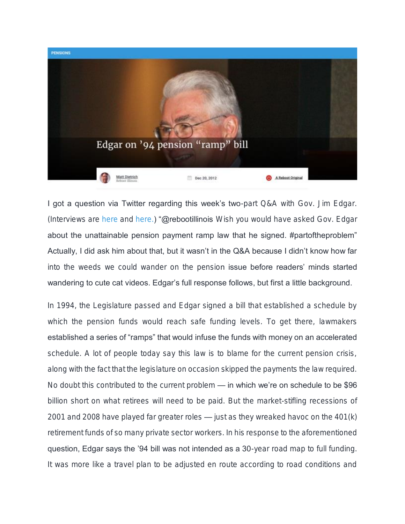

I got a question via Twitter regarding this week's two-part Q&A with Gov. Jim Edgar. (Interviews are [here](http://www.rebootillinois.com/?opinion=435) and [here.\)](http://www.rebootillinois.com/?opinion=436) "@rebootillinois Wish you would have asked Gov. Edgar about the unattainable pension payment ramp law that he signed. #partoftheproblem" Actually, I did ask him about that, but it wasn't in the Q&A because I didn't know how far into the weeds we could wander on the pension issue before readers' minds started wandering to cute cat videos. Edgar's full response follows, but first a little background.

In 1994, the Legislature passed and Edgar signed a bill that established a schedule by which the pension funds would reach safe funding levels. To get there, lawmakers established a series of "ramps" that would infuse the funds with money on an accelerated schedule. A lot of people today say this law is to blame for the current pension crisis, along with the fact that the legislature on occasion skipped the payments the law required. No doubt this contributed to the current problem — in which we're on schedule to be \$96 billion short on what retirees will need to be paid. But the market-stifling recessions of 2001 and 2008 have played far greater roles — just as they wreaked havoc on the 401(k) retirement funds of so many private sector workers. In his response to the aforementioned question, Edgar says the '94 bill was not intended as a 30-year road map to full funding. It was more like a travel plan to be adjusted en route according to road conditions and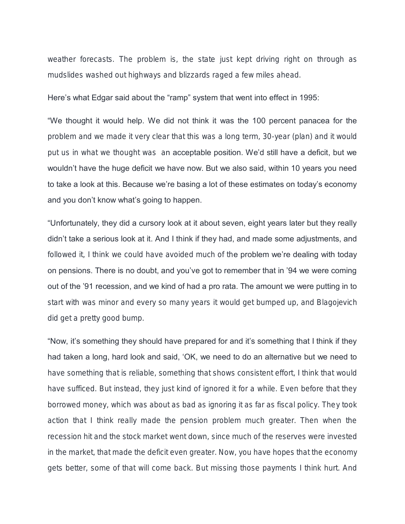weather forecasts. The problem is, the state just kept driving right on through as mudslides washed out highways and blizzards raged a few miles ahead.

## Here's what Edgar said about the "ramp" system that went into effect in 1995:

"We thought it would help. We did not think it was the 100 percent panacea for the problem and we made it very clear that this was a long term, 30-year (plan) and it would put us in what we thought was an acceptable position. We'd still have a deficit, but we wouldn't have the huge deficit we have now. But we also said, within 10 years you need to take a look at this. Because we're basing a lot of these estimates on today's economy and you don't know what's going to happen.

"Unfortunately, they did a cursory look at it about seven, eight years later but they really didn't take a serious look at it. And I think if they had, and made some adjustments, and followed it, I think we could have avoided much of the problem we're dealing with today on pensions. There is no doubt, and you've got to remember that in '94 we were coming out of the '91 recession, and we kind of had a pro rata. The amount we were putting in to start with was minor and every so many years it would get bumped up, and Blagojevich did get a pretty good bump.

"Now, it's something they should have prepared for and it's something that I think if they had taken a long, hard look and said, 'OK, we need to do an alternative but we need to have something that is reliable, something that shows consistent effort, I think that would have sufficed. But instead, they just kind of ignored it for a while. Even before that they borrowed money, which was about as bad as ignoring it as far as fiscal policy. They took action that I think really made the pension problem much greater. Then when the recession hit and the stock market went down, since much of the reserves were invested in the market, that made the deficit even greater. Now, you have hopes that the economy gets better, some of that will come back. But missing those payments I think hurt. And